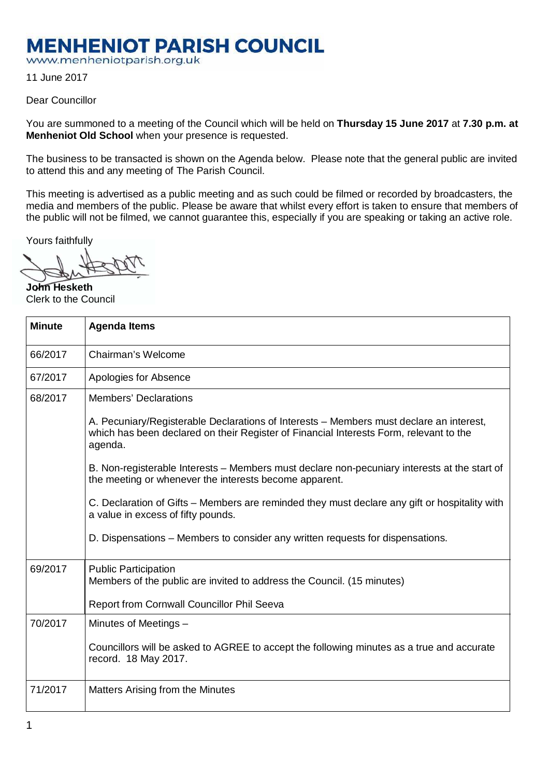## **MENHENIOT PARISH COUNCIL**

www.menheniotparish.org.uk

11 June 2017

## Dear Councillor

You are summoned to a meeting of the Council which will be held on **Thursday 15 June 2017** at **7.30 p.m. at Menheniot Old School** when your presence is requested.

The business to be transacted is shown on the Agenda below. Please note that the general public are invited to attend this and any meeting of The Parish Council.

This meeting is advertised as a public meeting and as such could be filmed or recorded by broadcasters, the media and members of the public. Please be aware that whilst every effort is taken to ensure that members of the public will not be filmed, we cannot guarantee this, especially if you are speaking or taking an active role.

Yours faithfully

**John Hesketh**  Clerk to the Council

| <b>Minute</b> | <b>Agenda Items</b>                                                                                                                                                                          |  |  |  |  |  |  |
|---------------|----------------------------------------------------------------------------------------------------------------------------------------------------------------------------------------------|--|--|--|--|--|--|
| 66/2017       | Chairman's Welcome                                                                                                                                                                           |  |  |  |  |  |  |
| 67/2017       | Apologies for Absence                                                                                                                                                                        |  |  |  |  |  |  |
| 68/2017       | <b>Members' Declarations</b>                                                                                                                                                                 |  |  |  |  |  |  |
|               | A. Pecuniary/Registerable Declarations of Interests – Members must declare an interest,<br>which has been declared on their Register of Financial Interests Form, relevant to the<br>agenda. |  |  |  |  |  |  |
|               | B. Non-registerable Interests – Members must declare non-pecuniary interests at the start of<br>the meeting or whenever the interests become apparent.                                       |  |  |  |  |  |  |
|               | C. Declaration of Gifts – Members are reminded they must declare any gift or hospitality with<br>a value in excess of fifty pounds.                                                          |  |  |  |  |  |  |
|               | D. Dispensations – Members to consider any written requests for dispensations.                                                                                                               |  |  |  |  |  |  |
| 69/2017       | <b>Public Participation</b><br>Members of the public are invited to address the Council. (15 minutes)                                                                                        |  |  |  |  |  |  |
|               | Report from Cornwall Councillor Phil Seeva                                                                                                                                                   |  |  |  |  |  |  |
| 70/2017       | Minutes of Meetings -                                                                                                                                                                        |  |  |  |  |  |  |
|               | Councillors will be asked to AGREE to accept the following minutes as a true and accurate<br>record. 18 May 2017.                                                                            |  |  |  |  |  |  |
| 71/2017       | Matters Arising from the Minutes                                                                                                                                                             |  |  |  |  |  |  |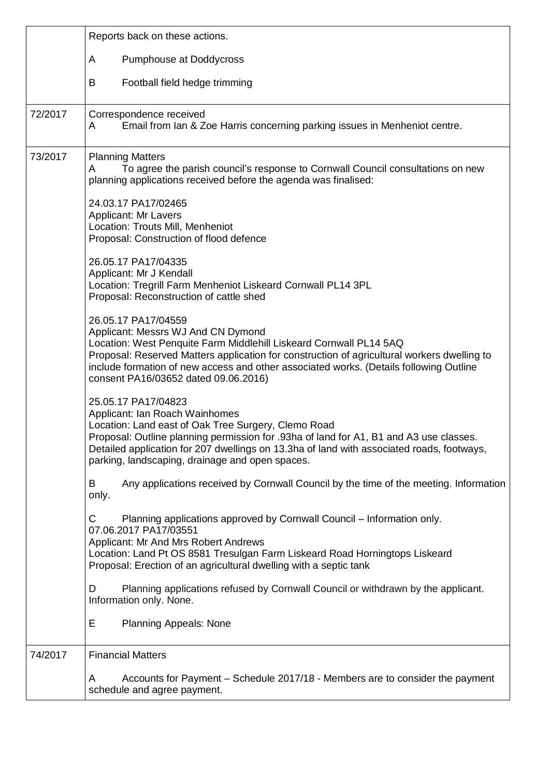|         | Reports back on these actions.                                                                                                                                                                                                                                                                                                                                   |  |  |  |  |  |
|---------|------------------------------------------------------------------------------------------------------------------------------------------------------------------------------------------------------------------------------------------------------------------------------------------------------------------------------------------------------------------|--|--|--|--|--|
|         | <b>Pumphouse at Doddycross</b><br>A                                                                                                                                                                                                                                                                                                                              |  |  |  |  |  |
|         | Football field hedge trimming<br>B                                                                                                                                                                                                                                                                                                                               |  |  |  |  |  |
| 72/2017 | Correspondence received<br>Email from Ian & Zoe Harris concerning parking issues in Menheniot centre.<br>A                                                                                                                                                                                                                                                       |  |  |  |  |  |
| 73/2017 | <b>Planning Matters</b><br>To agree the parish council's response to Cornwall Council consultations on new<br>A<br>planning applications received before the agenda was finalised:                                                                                                                                                                               |  |  |  |  |  |
|         | 24.03.17 PA17/02465<br><b>Applicant: Mr Lavers</b><br>Location: Trouts Mill, Menheniot<br>Proposal: Construction of flood defence                                                                                                                                                                                                                                |  |  |  |  |  |
|         | 26.05.17 PA17/04335<br>Applicant: Mr J Kendall<br>Location: Tregrill Farm Menheniot Liskeard Cornwall PL14 3PL<br>Proposal: Reconstruction of cattle shed                                                                                                                                                                                                        |  |  |  |  |  |
|         | 26.05.17 PA17/04559<br>Applicant: Messrs WJ And CN Dymond<br>Location: West Penquite Farm Middlehill Liskeard Cornwall PL14 5AQ<br>Proposal: Reserved Matters application for construction of agricultural workers dwelling to<br>include formation of new access and other associated works. (Details following Outline<br>consent PA16/03652 dated 09.06.2016) |  |  |  |  |  |
|         | 25.05.17 PA17/04823<br>Applicant: Ian Roach Wainhomes<br>Location: Land east of Oak Tree Surgery, Clemo Road<br>Proposal: Outline planning permission for .93ha of land for A1, B1 and A3 use classes<br>Detailed application for 207 dwellings on 13.3ha of land with associated roads, footways,<br>parking, landscaping, drainage and open spaces.            |  |  |  |  |  |
|         | Any applications received by Cornwall Council by the time of the meeting. Information<br>B<br>only.                                                                                                                                                                                                                                                              |  |  |  |  |  |
|         | Planning applications approved by Cornwall Council – Information only.<br>C<br>07.06.2017 PA17/03551<br>Applicant: Mr And Mrs Robert Andrews<br>Location: Land Pt OS 8581 Tresulgan Farm Liskeard Road Horningtops Liskeard<br>Proposal: Erection of an agricultural dwelling with a septic tank                                                                 |  |  |  |  |  |
|         | Planning applications refused by Cornwall Council or withdrawn by the applicant.<br>D<br>Information only. None.                                                                                                                                                                                                                                                 |  |  |  |  |  |
|         | Е<br><b>Planning Appeals: None</b>                                                                                                                                                                                                                                                                                                                               |  |  |  |  |  |
| 74/2017 | <b>Financial Matters</b>                                                                                                                                                                                                                                                                                                                                         |  |  |  |  |  |
|         | Accounts for Payment - Schedule 2017/18 - Members are to consider the payment<br>A<br>schedule and agree payment.                                                                                                                                                                                                                                                |  |  |  |  |  |